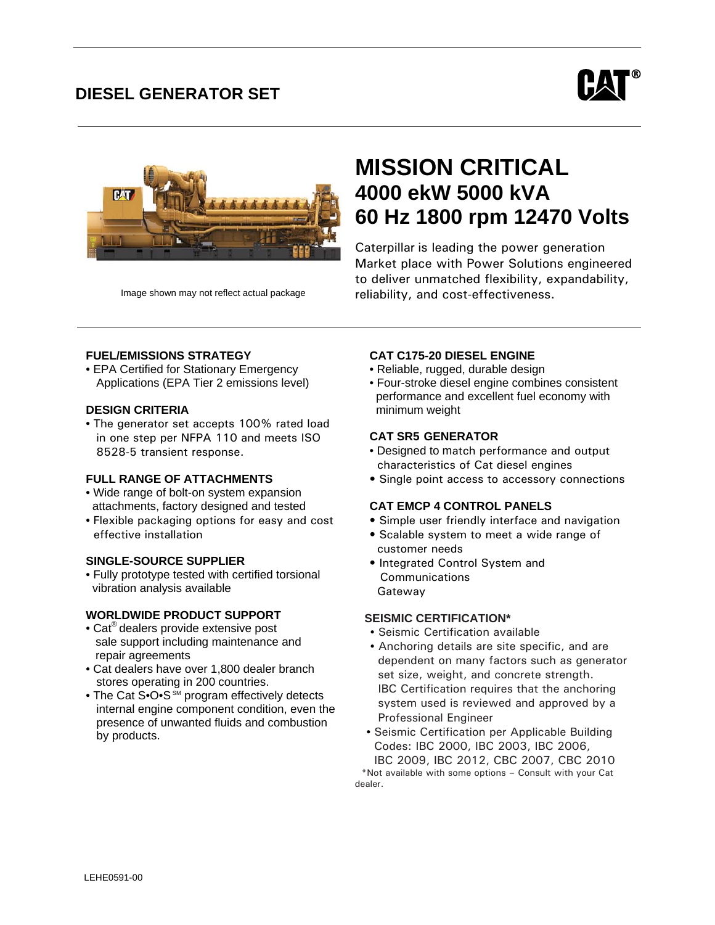## **FEATURES DIESEL GENERATOR SET**





# **MISSION CRITICAL 4000 ekW 5000 kVA 60 Hz 1800 rpm 12470 Volts**

Caterpillar is leading the power generation Market place with Power Solutions engineered to deliver unmatched flexibility, expandability, reliability, and cost-effectiveness.

Image shown may not reflect actual package

## **FUEL/EMISSIONS STRATEGY**

• EPA Certified for Stationary Emergency Applications (EPA Tier 2 emissions level)

## **DESIGN CRITERIA**

• The generator set accepts 100% rated load in one step per NFPA 110 and meets ISO 8528-5 transient response.

## **FULL RANGE OF ATTACHMENTS**

- Wide range of bolt-on system expansion attachments, factory designed and tested
- Flexible packaging options for easy and cost effective installation

## **SINGLE-SOURCE SUPPLIER**

• Fully prototype tested with certified torsional vibration analysis available

#### **WORLDWIDE PRODUCT SUPPORT**

- Cat<sup>®</sup> dealers provide extensive post sale support including maintenance and repair agreements
- Cat dealers have over 1,800 dealer branch stores operating in 200 countries.
- The Cat S•O•S SM program effectively detects internal engine component condition, even the presence of unwanted fluids and combustion by products.

## **CAT C175-20 DIESEL ENGINE**

- Reliable, rugged, durable design
- Four-stroke diesel engine combines consistent performance and excellent fuel economy with minimum weight

## **CAT SR5 GENERATOR**

- Designed to match performance and output characteristics of Cat diesel engines
- Single point access to accessory connections

## **CAT EMCP 4 CONTROL PANELS**

- Simple user friendly interface and navigation
- Scalable system to meet a wide range of customer needs
- Integrated Control System and **Communications** Gateway

#### **SEISMIC CERTIFICATION\***

- Seismic Certification available
- Anchoring details are site specific, and are dependent on many factors such as generator set size, weight, and concrete strength. IBC Certification requires that the anchoring system used is reviewed and approved by a Professional Engineer
- Seismic Certification per Applicable Building Codes: IBC 2000, IBC 2003, IBC 2006, IBC 2009, IBC 2012, CBC 2007, CBC 2010

 \*Not available with some options – Consult with your Cat dealer.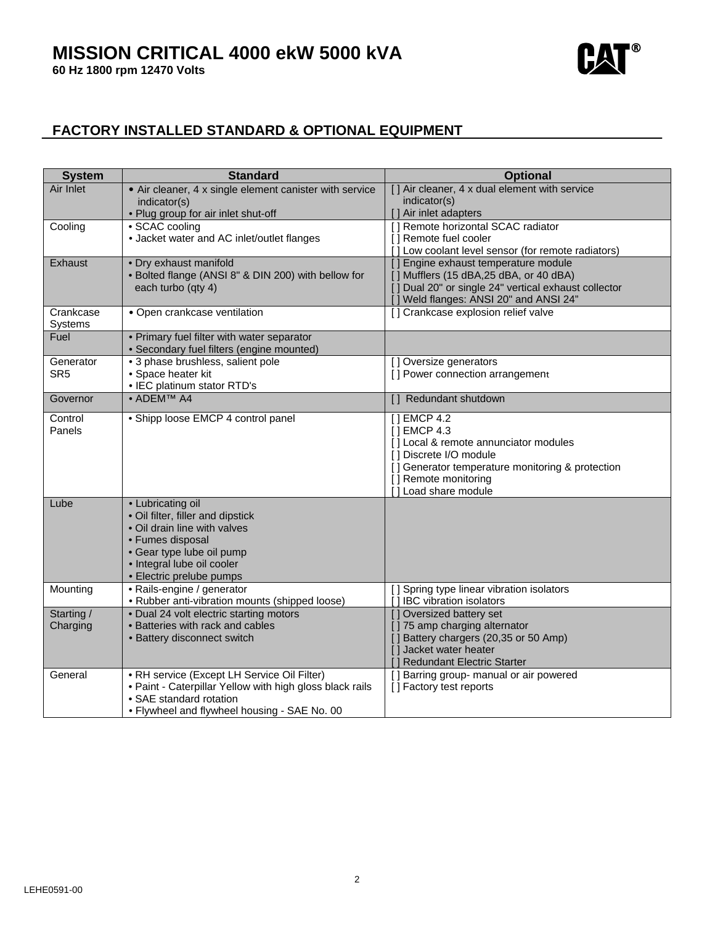**60 Hz 1800 rpm 12470 Volts** 



## **FACTORY INSTALLED STANDARD & OPTIONAL EQUIPMENT**

| [] Air cleaner, 4 x dual element with service<br>Air Inlet<br>• Air cleaner, 4 x single element canister with service<br>indicator(s)<br>indicator(s)<br>] Air inlet adapters<br>• Plug group for air inlet shut-off<br>• SCAC cooling<br>[] Remote horizontal SCAC radiator<br>Cooling<br>• Jacket water and AC inlet/outlet flanges<br>[] Remote fuel cooler<br>[] Low coolant level sensor (for remote radiators)<br>· Dry exhaust manifold<br>Exhaust<br>[] Engine exhaust temperature module<br>• Bolted flange (ANSI 8" & DIN 200) with bellow for<br>[] Mufflers (15 dBA, 25 dBA, or 40 dBA)<br>[] Dual 20" or single 24" vertical exhaust collector<br>each turbo (qty 4)<br>Weld flanges: ANSI 20" and ANSI 24"<br>Crankcase<br>[] Crankcase explosion relief valve<br>• Open crankcase ventilation<br><b>Systems</b><br>• Primary fuel filter with water separator<br>Fuel<br>• Secondary fuel filters (engine mounted)<br>· 3 phase brushless, salient pole<br>[] Oversize generators<br>Generator<br>SR <sub>5</sub><br>• Space heater kit<br>[] Power connection arrangement<br>• IEC platinum stator RTD's<br>• ADEMTM A4<br>Governor<br>[] Redundant shutdown<br>• Shipp loose EMCP 4 control panel<br>[] EMCP 4.2<br>Control<br>[] EMCP 4.3<br>Panels<br>[] Local & remote annunciator modules<br>[] Discrete I/O module<br>[] Generator temperature monitoring & protection<br>[] Remote monitoring<br>[] Load share module<br>• Lubricating oil<br>Lube<br>• Oil filter, filler and dipstick<br>. Oil drain line with valves<br>• Fumes disposal<br>• Gear type lube oil pump<br>· Integral lube oil cooler<br>• Electric prelube pumps<br>Mounting<br>• Rails-engine / generator<br>[] Spring type linear vibration isolators<br>• Rubber anti-vibration mounts (shipped loose)<br>[] IBC vibration isolators<br>Starting /<br>[] Oversized battery set<br>• Dual 24 volt electric starting motors<br>• Batteries with rack and cables<br>[] 75 amp charging alternator<br>Charging<br>[] Battery chargers (20,35 or 50 Amp)<br>• Battery disconnect switch<br>[] Jacket water heater<br>Redundant Electric Starter<br>• RH service (Except LH Service Oil Filter)<br>[] Barring group- manual or air powered<br>General<br>. Paint - Caterpillar Yellow with high gloss black rails<br>[] Factory test reports<br>• SAE standard rotation | <b>System</b> | <b>Standard</b>                              | <b>Optional</b> |
|---------------------------------------------------------------------------------------------------------------------------------------------------------------------------------------------------------------------------------------------------------------------------------------------------------------------------------------------------------------------------------------------------------------------------------------------------------------------------------------------------------------------------------------------------------------------------------------------------------------------------------------------------------------------------------------------------------------------------------------------------------------------------------------------------------------------------------------------------------------------------------------------------------------------------------------------------------------------------------------------------------------------------------------------------------------------------------------------------------------------------------------------------------------------------------------------------------------------------------------------------------------------------------------------------------------------------------------------------------------------------------------------------------------------------------------------------------------------------------------------------------------------------------------------------------------------------------------------------------------------------------------------------------------------------------------------------------------------------------------------------------------------------------------------------------------------------------------------------------------------------------------------------------------------------------------------------------------------------------------------------------------------------------------------------------------------------------------------------------------------------------------------------------------------------------------------------------------------------------------------------------------------------------------------------------------------------------------------------------------|---------------|----------------------------------------------|-----------------|
|                                                                                                                                                                                                                                                                                                                                                                                                                                                                                                                                                                                                                                                                                                                                                                                                                                                                                                                                                                                                                                                                                                                                                                                                                                                                                                                                                                                                                                                                                                                                                                                                                                                                                                                                                                                                                                                                                                                                                                                                                                                                                                                                                                                                                                                                                                                                                               |               |                                              |                 |
|                                                                                                                                                                                                                                                                                                                                                                                                                                                                                                                                                                                                                                                                                                                                                                                                                                                                                                                                                                                                                                                                                                                                                                                                                                                                                                                                                                                                                                                                                                                                                                                                                                                                                                                                                                                                                                                                                                                                                                                                                                                                                                                                                                                                                                                                                                                                                               |               |                                              |                 |
|                                                                                                                                                                                                                                                                                                                                                                                                                                                                                                                                                                                                                                                                                                                                                                                                                                                                                                                                                                                                                                                                                                                                                                                                                                                                                                                                                                                                                                                                                                                                                                                                                                                                                                                                                                                                                                                                                                                                                                                                                                                                                                                                                                                                                                                                                                                                                               |               |                                              |                 |
|                                                                                                                                                                                                                                                                                                                                                                                                                                                                                                                                                                                                                                                                                                                                                                                                                                                                                                                                                                                                                                                                                                                                                                                                                                                                                                                                                                                                                                                                                                                                                                                                                                                                                                                                                                                                                                                                                                                                                                                                                                                                                                                                                                                                                                                                                                                                                               |               |                                              |                 |
|                                                                                                                                                                                                                                                                                                                                                                                                                                                                                                                                                                                                                                                                                                                                                                                                                                                                                                                                                                                                                                                                                                                                                                                                                                                                                                                                                                                                                                                                                                                                                                                                                                                                                                                                                                                                                                                                                                                                                                                                                                                                                                                                                                                                                                                                                                                                                               |               |                                              |                 |
|                                                                                                                                                                                                                                                                                                                                                                                                                                                                                                                                                                                                                                                                                                                                                                                                                                                                                                                                                                                                                                                                                                                                                                                                                                                                                                                                                                                                                                                                                                                                                                                                                                                                                                                                                                                                                                                                                                                                                                                                                                                                                                                                                                                                                                                                                                                                                               |               |                                              |                 |
|                                                                                                                                                                                                                                                                                                                                                                                                                                                                                                                                                                                                                                                                                                                                                                                                                                                                                                                                                                                                                                                                                                                                                                                                                                                                                                                                                                                                                                                                                                                                                                                                                                                                                                                                                                                                                                                                                                                                                                                                                                                                                                                                                                                                                                                                                                                                                               |               |                                              |                 |
|                                                                                                                                                                                                                                                                                                                                                                                                                                                                                                                                                                                                                                                                                                                                                                                                                                                                                                                                                                                                                                                                                                                                                                                                                                                                                                                                                                                                                                                                                                                                                                                                                                                                                                                                                                                                                                                                                                                                                                                                                                                                                                                                                                                                                                                                                                                                                               |               |                                              |                 |
|                                                                                                                                                                                                                                                                                                                                                                                                                                                                                                                                                                                                                                                                                                                                                                                                                                                                                                                                                                                                                                                                                                                                                                                                                                                                                                                                                                                                                                                                                                                                                                                                                                                                                                                                                                                                                                                                                                                                                                                                                                                                                                                                                                                                                                                                                                                                                               |               |                                              |                 |
|                                                                                                                                                                                                                                                                                                                                                                                                                                                                                                                                                                                                                                                                                                                                                                                                                                                                                                                                                                                                                                                                                                                                                                                                                                                                                                                                                                                                                                                                                                                                                                                                                                                                                                                                                                                                                                                                                                                                                                                                                                                                                                                                                                                                                                                                                                                                                               |               |                                              |                 |
|                                                                                                                                                                                                                                                                                                                                                                                                                                                                                                                                                                                                                                                                                                                                                                                                                                                                                                                                                                                                                                                                                                                                                                                                                                                                                                                                                                                                                                                                                                                                                                                                                                                                                                                                                                                                                                                                                                                                                                                                                                                                                                                                                                                                                                                                                                                                                               |               |                                              |                 |
|                                                                                                                                                                                                                                                                                                                                                                                                                                                                                                                                                                                                                                                                                                                                                                                                                                                                                                                                                                                                                                                                                                                                                                                                                                                                                                                                                                                                                                                                                                                                                                                                                                                                                                                                                                                                                                                                                                                                                                                                                                                                                                                                                                                                                                                                                                                                                               |               |                                              |                 |
|                                                                                                                                                                                                                                                                                                                                                                                                                                                                                                                                                                                                                                                                                                                                                                                                                                                                                                                                                                                                                                                                                                                                                                                                                                                                                                                                                                                                                                                                                                                                                                                                                                                                                                                                                                                                                                                                                                                                                                                                                                                                                                                                                                                                                                                                                                                                                               |               |                                              |                 |
|                                                                                                                                                                                                                                                                                                                                                                                                                                                                                                                                                                                                                                                                                                                                                                                                                                                                                                                                                                                                                                                                                                                                                                                                                                                                                                                                                                                                                                                                                                                                                                                                                                                                                                                                                                                                                                                                                                                                                                                                                                                                                                                                                                                                                                                                                                                                                               |               |                                              |                 |
|                                                                                                                                                                                                                                                                                                                                                                                                                                                                                                                                                                                                                                                                                                                                                                                                                                                                                                                                                                                                                                                                                                                                                                                                                                                                                                                                                                                                                                                                                                                                                                                                                                                                                                                                                                                                                                                                                                                                                                                                                                                                                                                                                                                                                                                                                                                                                               |               |                                              |                 |
|                                                                                                                                                                                                                                                                                                                                                                                                                                                                                                                                                                                                                                                                                                                                                                                                                                                                                                                                                                                                                                                                                                                                                                                                                                                                                                                                                                                                                                                                                                                                                                                                                                                                                                                                                                                                                                                                                                                                                                                                                                                                                                                                                                                                                                                                                                                                                               |               |                                              |                 |
|                                                                                                                                                                                                                                                                                                                                                                                                                                                                                                                                                                                                                                                                                                                                                                                                                                                                                                                                                                                                                                                                                                                                                                                                                                                                                                                                                                                                                                                                                                                                                                                                                                                                                                                                                                                                                                                                                                                                                                                                                                                                                                                                                                                                                                                                                                                                                               |               |                                              |                 |
|                                                                                                                                                                                                                                                                                                                                                                                                                                                                                                                                                                                                                                                                                                                                                                                                                                                                                                                                                                                                                                                                                                                                                                                                                                                                                                                                                                                                                                                                                                                                                                                                                                                                                                                                                                                                                                                                                                                                                                                                                                                                                                                                                                                                                                                                                                                                                               |               |                                              |                 |
|                                                                                                                                                                                                                                                                                                                                                                                                                                                                                                                                                                                                                                                                                                                                                                                                                                                                                                                                                                                                                                                                                                                                                                                                                                                                                                                                                                                                                                                                                                                                                                                                                                                                                                                                                                                                                                                                                                                                                                                                                                                                                                                                                                                                                                                                                                                                                               |               |                                              |                 |
|                                                                                                                                                                                                                                                                                                                                                                                                                                                                                                                                                                                                                                                                                                                                                                                                                                                                                                                                                                                                                                                                                                                                                                                                                                                                                                                                                                                                                                                                                                                                                                                                                                                                                                                                                                                                                                                                                                                                                                                                                                                                                                                                                                                                                                                                                                                                                               |               |                                              |                 |
|                                                                                                                                                                                                                                                                                                                                                                                                                                                                                                                                                                                                                                                                                                                                                                                                                                                                                                                                                                                                                                                                                                                                                                                                                                                                                                                                                                                                                                                                                                                                                                                                                                                                                                                                                                                                                                                                                                                                                                                                                                                                                                                                                                                                                                                                                                                                                               |               |                                              |                 |
|                                                                                                                                                                                                                                                                                                                                                                                                                                                                                                                                                                                                                                                                                                                                                                                                                                                                                                                                                                                                                                                                                                                                                                                                                                                                                                                                                                                                                                                                                                                                                                                                                                                                                                                                                                                                                                                                                                                                                                                                                                                                                                                                                                                                                                                                                                                                                               |               |                                              |                 |
|                                                                                                                                                                                                                                                                                                                                                                                                                                                                                                                                                                                                                                                                                                                                                                                                                                                                                                                                                                                                                                                                                                                                                                                                                                                                                                                                                                                                                                                                                                                                                                                                                                                                                                                                                                                                                                                                                                                                                                                                                                                                                                                                                                                                                                                                                                                                                               |               |                                              |                 |
|                                                                                                                                                                                                                                                                                                                                                                                                                                                                                                                                                                                                                                                                                                                                                                                                                                                                                                                                                                                                                                                                                                                                                                                                                                                                                                                                                                                                                                                                                                                                                                                                                                                                                                                                                                                                                                                                                                                                                                                                                                                                                                                                                                                                                                                                                                                                                               |               |                                              |                 |
|                                                                                                                                                                                                                                                                                                                                                                                                                                                                                                                                                                                                                                                                                                                                                                                                                                                                                                                                                                                                                                                                                                                                                                                                                                                                                                                                                                                                                                                                                                                                                                                                                                                                                                                                                                                                                                                                                                                                                                                                                                                                                                                                                                                                                                                                                                                                                               |               |                                              |                 |
|                                                                                                                                                                                                                                                                                                                                                                                                                                                                                                                                                                                                                                                                                                                                                                                                                                                                                                                                                                                                                                                                                                                                                                                                                                                                                                                                                                                                                                                                                                                                                                                                                                                                                                                                                                                                                                                                                                                                                                                                                                                                                                                                                                                                                                                                                                                                                               |               |                                              |                 |
|                                                                                                                                                                                                                                                                                                                                                                                                                                                                                                                                                                                                                                                                                                                                                                                                                                                                                                                                                                                                                                                                                                                                                                                                                                                                                                                                                                                                                                                                                                                                                                                                                                                                                                                                                                                                                                                                                                                                                                                                                                                                                                                                                                                                                                                                                                                                                               |               |                                              |                 |
|                                                                                                                                                                                                                                                                                                                                                                                                                                                                                                                                                                                                                                                                                                                                                                                                                                                                                                                                                                                                                                                                                                                                                                                                                                                                                                                                                                                                                                                                                                                                                                                                                                                                                                                                                                                                                                                                                                                                                                                                                                                                                                                                                                                                                                                                                                                                                               |               |                                              |                 |
|                                                                                                                                                                                                                                                                                                                                                                                                                                                                                                                                                                                                                                                                                                                                                                                                                                                                                                                                                                                                                                                                                                                                                                                                                                                                                                                                                                                                                                                                                                                                                                                                                                                                                                                                                                                                                                                                                                                                                                                                                                                                                                                                                                                                                                                                                                                                                               |               |                                              |                 |
|                                                                                                                                                                                                                                                                                                                                                                                                                                                                                                                                                                                                                                                                                                                                                                                                                                                                                                                                                                                                                                                                                                                                                                                                                                                                                                                                                                                                                                                                                                                                                                                                                                                                                                                                                                                                                                                                                                                                                                                                                                                                                                                                                                                                                                                                                                                                                               |               |                                              |                 |
|                                                                                                                                                                                                                                                                                                                                                                                                                                                                                                                                                                                                                                                                                                                                                                                                                                                                                                                                                                                                                                                                                                                                                                                                                                                                                                                                                                                                                                                                                                                                                                                                                                                                                                                                                                                                                                                                                                                                                                                                                                                                                                                                                                                                                                                                                                                                                               |               |                                              |                 |
|                                                                                                                                                                                                                                                                                                                                                                                                                                                                                                                                                                                                                                                                                                                                                                                                                                                                                                                                                                                                                                                                                                                                                                                                                                                                                                                                                                                                                                                                                                                                                                                                                                                                                                                                                                                                                                                                                                                                                                                                                                                                                                                                                                                                                                                                                                                                                               |               |                                              |                 |
|                                                                                                                                                                                                                                                                                                                                                                                                                                                                                                                                                                                                                                                                                                                                                                                                                                                                                                                                                                                                                                                                                                                                                                                                                                                                                                                                                                                                                                                                                                                                                                                                                                                                                                                                                                                                                                                                                                                                                                                                                                                                                                                                                                                                                                                                                                                                                               |               |                                              |                 |
|                                                                                                                                                                                                                                                                                                                                                                                                                                                                                                                                                                                                                                                                                                                                                                                                                                                                                                                                                                                                                                                                                                                                                                                                                                                                                                                                                                                                                                                                                                                                                                                                                                                                                                                                                                                                                                                                                                                                                                                                                                                                                                                                                                                                                                                                                                                                                               |               |                                              |                 |
|                                                                                                                                                                                                                                                                                                                                                                                                                                                                                                                                                                                                                                                                                                                                                                                                                                                                                                                                                                                                                                                                                                                                                                                                                                                                                                                                                                                                                                                                                                                                                                                                                                                                                                                                                                                                                                                                                                                                                                                                                                                                                                                                                                                                                                                                                                                                                               |               |                                              |                 |
|                                                                                                                                                                                                                                                                                                                                                                                                                                                                                                                                                                                                                                                                                                                                                                                                                                                                                                                                                                                                                                                                                                                                                                                                                                                                                                                                                                                                                                                                                                                                                                                                                                                                                                                                                                                                                                                                                                                                                                                                                                                                                                                                                                                                                                                                                                                                                               |               |                                              |                 |
|                                                                                                                                                                                                                                                                                                                                                                                                                                                                                                                                                                                                                                                                                                                                                                                                                                                                                                                                                                                                                                                                                                                                                                                                                                                                                                                                                                                                                                                                                                                                                                                                                                                                                                                                                                                                                                                                                                                                                                                                                                                                                                                                                                                                                                                                                                                                                               |               |                                              |                 |
|                                                                                                                                                                                                                                                                                                                                                                                                                                                                                                                                                                                                                                                                                                                                                                                                                                                                                                                                                                                                                                                                                                                                                                                                                                                                                                                                                                                                                                                                                                                                                                                                                                                                                                                                                                                                                                                                                                                                                                                                                                                                                                                                                                                                                                                                                                                                                               |               |                                              |                 |
|                                                                                                                                                                                                                                                                                                                                                                                                                                                                                                                                                                                                                                                                                                                                                                                                                                                                                                                                                                                                                                                                                                                                                                                                                                                                                                                                                                                                                                                                                                                                                                                                                                                                                                                                                                                                                                                                                                                                                                                                                                                                                                                                                                                                                                                                                                                                                               |               |                                              |                 |
|                                                                                                                                                                                                                                                                                                                                                                                                                                                                                                                                                                                                                                                                                                                                                                                                                                                                                                                                                                                                                                                                                                                                                                                                                                                                                                                                                                                                                                                                                                                                                                                                                                                                                                                                                                                                                                                                                                                                                                                                                                                                                                                                                                                                                                                                                                                                                               |               | . Flywheel and flywheel housing - SAE No. 00 |                 |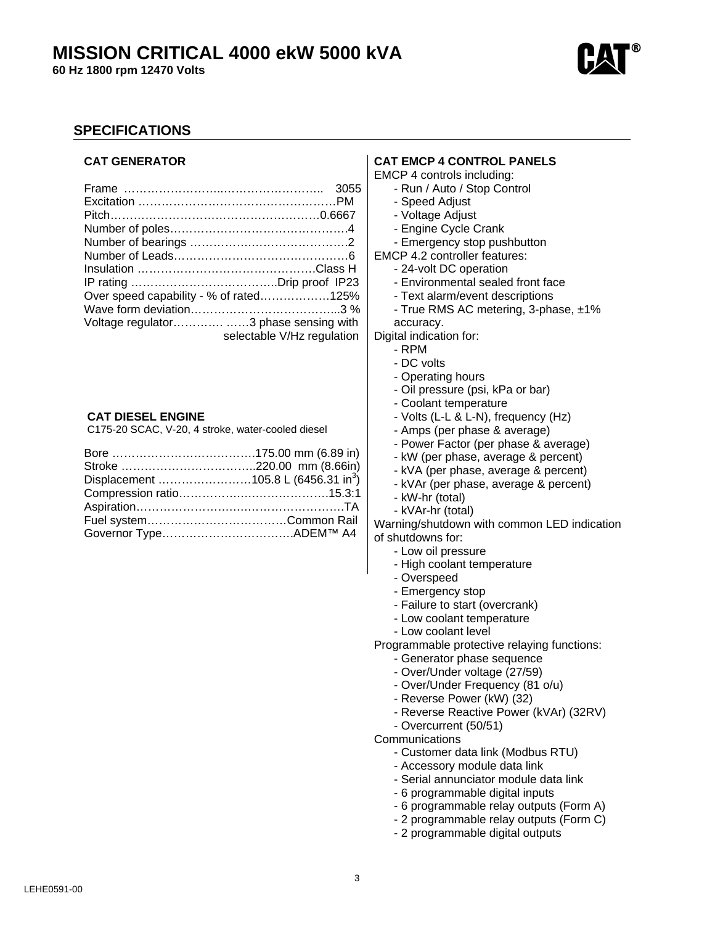## **MISSION CRITICAL 4000 ekW 5000 kVA**

**60 Hz 1800 rpm 12470 Volts** 



## **SPECIFICATIONS**

## **CAT GENERATOR**

| Over speed capability - % of rated125% |  |
|----------------------------------------|--|
|                                        |  |
| Voltage regulator3 phase sensing with  |  |
| selectable V/Hz regulation             |  |

#### **CAT DIESEL ENGINE**

C175-20 SCAC, V-20, 4 stroke, water-cooled diesel

| Displacement 105.8 L (6456.31 in <sup>3</sup> ) |  |
|-------------------------------------------------|--|
|                                                 |  |
|                                                 |  |
|                                                 |  |
|                                                 |  |

## **CAT EMCP 4 CONTROL PANELS**

EMCP 4 controls including:

- Run / Auto / Stop Control
- Speed Adjust
- Voltage Adjust
- Engine Cycle Crank
- Emergency stop pushbutton

EMCP 4.2 controller features:

- 24-volt DC operation
- Environmental sealed front face
- Text alarm/event descriptions
- True RMS AC metering, 3-phase, ±1%
- accuracy. Digital indication for:

- RPM

- DC volts
- Operating hours
- 
- Oil pressure (psi, kPa or bar)
- Coolant temperature
- Volts (L-L & L-N), frequency (Hz)
- Amps (per phase & average)
- Power Factor (per phase & average)
- kW (per phase, average & percent)
- kVA (per phase, average & percent)
- kVAr (per phase, average & percent)
- kW-hr (total)
- kVAr-hr (total)

Warning/shutdown with common LED indication of shutdowns for:

- Low oil pressure
- High coolant temperature
- Overspeed
- Emergency stop
- Failure to start (overcrank)
- Low coolant temperature
- Low coolant level

Programmable protective relaying functions:

- Generator phase sequence
- Over/Under voltage (27/59)
- Over/Under Frequency (81 o/u)
- Reverse Power (kW) (32)
- Reverse Reactive Power (kVAr) (32RV)
- Overcurrent (50/51)

**Communications** 

- Customer data link (Modbus RTU)
- Accessory module data link
- Serial annunciator module data link
- 6 programmable digital inputs
- 6 programmable relay outputs (Form A)
- 2 programmable relay outputs (Form C)
- 2 programmable digital outputs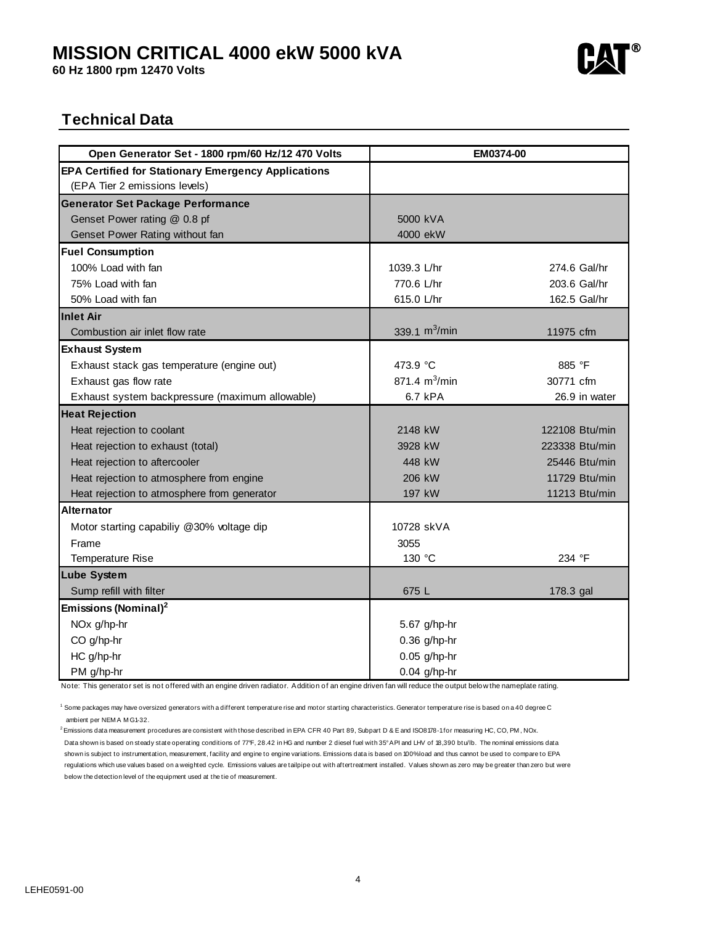## **MISSION CRITICAL 4000 ekW 5000 kVA**

**60 Hz 1800 rpm 12470 Volts** 



## **Technical Data**

| Open Generator Set - 1800 rpm/60 Hz/12 470 Volts           | EM0374-00        |                |
|------------------------------------------------------------|------------------|----------------|
| <b>EPA Certified for Stationary Emergency Applications</b> |                  |                |
| (EPA Tier 2 emissions levels)                              |                  |                |
| <b>Generator Set Package Performance</b>                   |                  |                |
| Genset Power rating @ 0.8 pf                               | 5000 kVA         |                |
| Genset Power Rating without fan                            | 4000 ekW         |                |
| <b>Fuel Consumption</b>                                    |                  |                |
| 100% Load with fan                                         | 1039.3 L/hr      | 274.6 Gal/hr   |
| 75% Load with fan                                          | 770.6 L/hr       | 203.6 Gal/hr   |
| 50% Load with fan                                          | 615.0 L/hr       | 162.5 Gal/hr   |
| <b>Inlet Air</b>                                           |                  |                |
| Combustion air inlet flow rate                             | 339.1 $m^3/m$ in | 11975 cfm      |
| <b>Exhaust System</b>                                      |                  |                |
| Exhaust stack gas temperature (engine out)                 | 473.9 °C         | 885 °F         |
| Exhaust gas flow rate                                      | 871.4 $m^3/m$ in | 30771 cfm      |
| Exhaust system backpressure (maximum allowable)            | 6.7 kPA          | 26.9 in water  |
| <b>Heat Rejection</b>                                      |                  |                |
| Heat rejection to coolant                                  | 2148 kW          | 122108 Btu/min |
| Heat rejection to exhaust (total)                          | 3928 kW          | 223338 Btu/min |
| Heat rejection to aftercooler                              | 448 kW           | 25446 Btu/min  |
| Heat rejection to atmosphere from engine                   | 206 kW           | 11729 Btu/min  |
| Heat rejection to atmosphere from generator                | 197 kW           | 11213 Btu/min  |
| <b>Alternator</b>                                          |                  |                |
| Motor starting capabiliy @30% voltage dip                  | 10728 skVA       |                |
| Frame                                                      | 3055             |                |
| Temperature Rise                                           | 130 °C           | 234 °F         |
| <b>Lube System</b>                                         |                  |                |
| Sump refill with filter                                    | 675 L            | 178.3 gal      |
| Emissions (Nominal) <sup>2</sup>                           |                  |                |
| NOx g/hp-hr                                                | 5.67 g/hp-hr     |                |
| CO g/hp-hr                                                 | $0.36$ g/hp-hr   |                |
| HC g/hp-hr                                                 | $0.05$ g/hp-hr   |                |
| PM g/hp-hr                                                 | $0.04$ g/hp-hr   |                |

Note: This generator set is not offered with an engine driven radiator. Addition of an engine driven fan will reduce the output below the nameplate rating.

1 Some packages may have oversized generators with a different temperature rise and motor starting characteristics. Generator temperature rise is based on a 40 degree C ambient per NEM A M G1-32.

2 Emissions data measurement procedures are consistent with those described in EPA CFR 40 Part 89, Subpart D & E and ISO8178-1 for measuring HC, CO, PM , NOx. Data shown is based on steady state operating conditions of 77°F, 28.42 in HG and number 2 diesel fuel with 35° API and LHV of 18,390 btu/lb. The nominal emissions data shown is subject to instrumentation, measurement, facility and engine to engine variations. Emissions data is based on 100% load and thus cannot be used to compare to EPA regulations which use values based on a weighted cycle. Emissions values are tailpipe out with aftertreatment installed. Values shown as zero may be greater than zero but were below the detection level of the equipment used at the tie of measurement.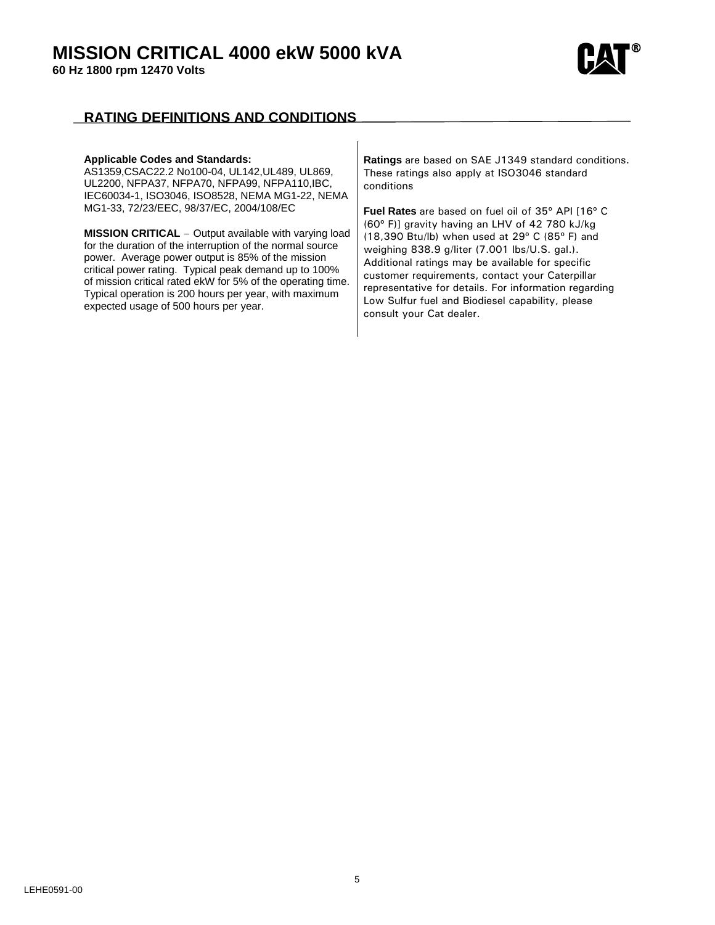**60 Hz 1800 rpm 12470 Volts** 



## **RATING DEFINITIONS AND CONDITIONS**